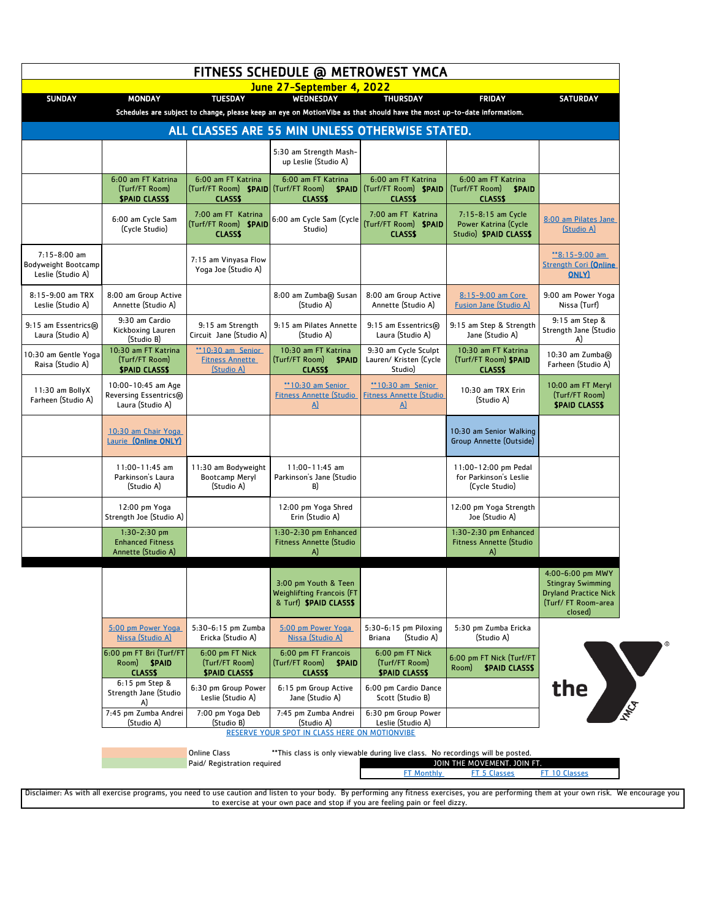| FITNESS SCHEDULE @ METROWEST YMCA                        |                                                                    |                                                                                    |                                                                                                                                 |                                                                      |                                                                             |                                                                                                               |
|----------------------------------------------------------|--------------------------------------------------------------------|------------------------------------------------------------------------------------|---------------------------------------------------------------------------------------------------------------------------------|----------------------------------------------------------------------|-----------------------------------------------------------------------------|---------------------------------------------------------------------------------------------------------------|
| <b>SUNDAY</b>                                            | <b>MONDAY</b>                                                      | <b>TUESDAY</b>                                                                     | June 27-September 4, 2022<br>WEDNESDAY                                                                                          | <b>THURSDAY</b>                                                      | <b>FRIDAY</b>                                                               | <b>SATURDAY</b>                                                                                               |
|                                                          |                                                                    |                                                                                    | Schedules are subject to change, please keep an eye on MotionVibe as that should have the most up-to-date informatiom.          |                                                                      |                                                                             |                                                                                                               |
|                                                          |                                                                    |                                                                                    | ALL CLASSES ARE 55 MIN UNLESS OTHERWISE STATED.                                                                                 |                                                                      |                                                                             |                                                                                                               |
|                                                          |                                                                    |                                                                                    | 5:30 am Strength Mash-<br>up Leslie (Studio A)                                                                                  |                                                                      |                                                                             |                                                                                                               |
|                                                          | 6:00 am FT Katrina<br>(Turf/FT Room)<br><b><i>SPAID CLASSS</i></b> | 6:00 am FT Katrina<br>(Turf/FT Room) <b>SPAID</b> (Turf/FT Room)<br><b>CLASS\$</b> | 6:00 am FT Katrina<br><b>SPAID</b><br><b>CLASSS</b>                                                                             | 6:00 am FT Katrina<br>(Turf/FT Room) <b>\$PAID</b><br><b>CLASS\$</b> | 6:00 am FT Katrina<br>(Turf/FT Room)<br><b>SPAID</b><br><b>CLASS\$</b>      |                                                                                                               |
|                                                          | 6:00 am Cycle Sam<br>(Cycle Studio)                                | 7:00 am FT Katrina<br>(Turf/FT Room) SPAID<br><b>CLASS\$</b>                       | 6:00 am Cycle Sam (Cycle<br>Studio)                                                                                             | 7:00 am FT Katrina<br>(Turf/FT Room) SPAID<br><b>CLASSS</b>          | 7:15-8:15 am Cycle<br>Power Katrina (Cycle<br>Studio) <b>\$PAID CLASS\$</b> | 8:00 am Pilates Jane<br>(Studio A)                                                                            |
| 7:15-8:00 am<br>Bodyweight Bootcamp<br>Leslie (Studio A) |                                                                    | 7:15 am Vinyasa Flow<br>Yoga Joe (Studio A)                                        |                                                                                                                                 |                                                                      |                                                                             | $*8:15-9:00$ am<br><b>Strength Cori (Online</b><br><b>ONLY</b>                                                |
| 8:15-9:00 am TRX<br>Leslie (Studio A)                    | 8:00 am Group Active<br>Annette (Studio A)                         |                                                                                    | 8:00 am Zumba® Susan<br>(Studio A)                                                                                              | 8:00 am Group Active<br>Annette (Studio A)                           | 8:15-9:00 am Core<br><b>Fusion Jane (Studio A)</b>                          | 9:00 am Power Yoga<br>Nissa (Turf)                                                                            |
| 9:15 am Essentrics®<br>Laura (Studio A)                  | 9:30 am Cardio<br>Kickboxing Lauren<br>(Studio B)                  | 9:15 am Strength<br>Circuit Jane (Studio A)                                        | 9:15 am Pilates Annette<br>(Studio A)                                                                                           | 9:15 am Essentrics®<br>Laura (Studio A)                              | 9:15 am Step & Strength<br>Jane (Studio A)                                  | 9:15 am Step &<br>Strength Jane (Studio<br>A)                                                                 |
| 10:30 am Gentle Yoga<br>Raisa (Studio A)                 | 10:30 am FT Katrina<br>(Turf/FT Room)<br><b>SPAID CLASSS</b>       | **10:30 am Senior<br><b>Fitness Annette</b><br>(Studio A)                          | 10:30 am FT Katrina<br>(Turf/FT Room)<br><b>SPAID</b><br><b>CLASS\$</b>                                                         | 9:30 am Cycle Sculpt<br>Lauren/ Kristen (Cycle<br>Studio)            | 10:30 am FT Katrina<br>(Turf/FT Room) SPAID<br><b>CLASS\$</b>               | 10:30 am Zumba®<br>Farheen (Studio A)                                                                         |
| 11:30 am BollyX<br>Farheen (Studio A)                    | 10:00-10:45 am Age<br>Reversing Essentrics®<br>Laura (Studio A)    |                                                                                    | **10:30 am Senior<br><b>Fitness Annette (Studio</b><br>A)                                                                       | $*10:30$ am Senior<br><b>Fitness Annette (Studio</b><br>$\Delta$     | 10:30 am TRX Erin<br>(Studio A)                                             | 10:00 am FT Meryl<br>(Turf/FT Room)<br><b><i>SPAID CLASSS</i></b>                                             |
|                                                          | 10:30 am Chair Yoga<br>Laurie (Online ONLY)                        |                                                                                    |                                                                                                                                 |                                                                      | 10:30 am Senior Walking<br>Group Annette (Outside)                          |                                                                                                               |
|                                                          | $11:00 - 11:45$ am<br>Parkinson's Laura<br>(Studio A)              | 11:30 am Bodyweight<br>Bootcamp Meryl<br>(Studio A)                                | $11:00 - 11:45$ am<br>Parkinson's Jane (Studio<br>B)                                                                            |                                                                      | 11:00-12:00 pm Pedal<br>for Parkinson's Leslie<br>(Cycle Studio)            |                                                                                                               |
|                                                          | 12:00 pm Yoga<br>Strength Joe (Studio A)                           |                                                                                    | 12:00 pm Yoga Shred<br>Erin (Studio A)                                                                                          |                                                                      | 12:00 pm Yoga Strength<br>Joe (Studio A)                                    |                                                                                                               |
|                                                          | $1:30-2:30$ pm<br><b>Enhanced Fitness</b><br>Annette (Studio A)    |                                                                                    | 1:30-2:30 pm Enhanced<br><b>Fitness Annette (Studio</b><br>A)                                                                   |                                                                      | 1:30-2:30 pm Enhanced<br><b>Fitness Annette (Studio</b><br>A)               |                                                                                                               |
|                                                          |                                                                    |                                                                                    | 3:00 pm Youth & Teen<br><b>Weighlifting Francois (FT</b><br>& Turf) SPAID CLASSS                                                |                                                                      |                                                                             | 4:00-6:00 pm MWY<br><b>Stingray Swimming</b><br><b>Dryland Practice Nick</b><br>(Turf/FT Room-area<br>closed) |
|                                                          | 5:00 pm Power Yoga<br>Nissa (Studio A)                             | 5:30-6:15 pm Zumba<br>Ericka (Studio A)                                            | 5:00 pm Power Yoga<br>Nissa (Studio A)                                                                                          | $5:30-6:15$ pm Piloxing<br>(Studio A)<br>Briana                      | 5:30 pm Zumba Ericka<br>(Studio A)                                          |                                                                                                               |
|                                                          | 6:00 pm FT Bri (Turf/FT<br>Room) <b>\$PAID</b><br><b>CLASS\$</b>   | 6:00 pm FT Nick<br>(Turf/FT Room)<br><b><i>SPAID CLASSS</i></b>                    | 6:00 pm FT Francois<br>(Turf/FT Room)<br><b>SPAID</b><br><b>CLASS\$</b>                                                         | 6:00 pm FT Nick<br>(Turf/FT Room)<br><b><i>SPAID CLASSS</i></b>      | 6:00 pm FT Nick (Turf/FT<br><b><i>SPAID CLASSS</i></b><br>Room)             |                                                                                                               |
|                                                          | $6:15$ pm Step &<br>Strength Jane (Studio<br>A)                    | 6:30 pm Group Power<br>Leslie (Studio A)                                           | 6:15 pm Group Active<br>Jane (Studio A)                                                                                         | 6:00 pm Cardio Dance<br>Scott (Studio B)                             |                                                                             | This Co.<br>the                                                                                               |
|                                                          | 7:45 pm Zumba Andrei<br>(Studio A)                                 | 7:00 pm Yoga Deb<br>(Studio B)                                                     | 7:45 pm Zumba Andrei<br>(Studio A)                                                                                              | 6:30 pm Group Power<br>Leslie (Studio A)                             |                                                                             |                                                                                                               |
|                                                          |                                                                    | <b>Online Class</b><br>Paid/ Registration required                                 | RESERVE YOUR SPOT IN CLASS HERE ON MOTIONVIBE<br>**This class is only viewable during live class. No recordings will be posted. |                                                                      | JOIN THE MOVEMENT. JOIN FT.                                                 |                                                                                                               |

Disclaimer: As with all exercise programs, you need to use caution and listen to your body. By performing any fitness exercises, you are performing them at your own risk. We encourage you to exercise at your own pace and stop if you are feeling pain or feel dizzy.